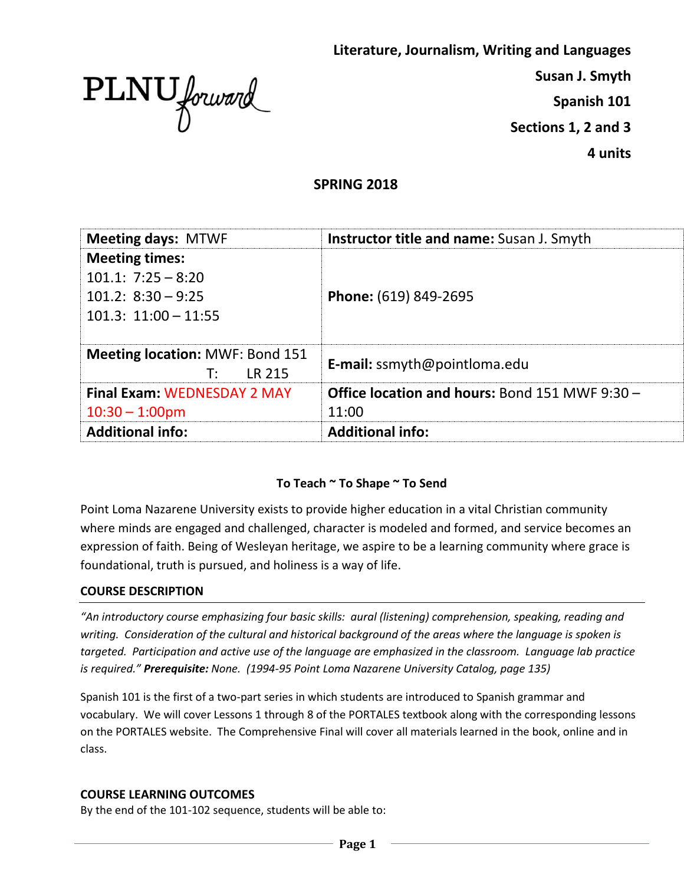

**Literature, Journalism, Writing and Languages** 

**Susan J. Smyth**

**Spanish 101**

**Sections 1, 2 and 3**

**4 units**

## **SPRING 2018**

| <b>Meeting days: MTWF</b>                              | <b>Instructor title and name:</b> Susan J. Smyth      |
|--------------------------------------------------------|-------------------------------------------------------|
| <b>Meeting times:</b>                                  |                                                       |
| $101.1: 7:25 - 8:20$                                   |                                                       |
| $101.2: 8:30 - 9:25$                                   | Phone: (619) 849-2695                                 |
| $101.3: 11:00 - 11:55$                                 |                                                       |
|                                                        |                                                       |
| <b>Meeting location: MWF: Bond 151</b><br>LR 215<br>T: | <b>E-mail:</b> ssmyth@pointloma.edu                   |
| <b>Final Exam: WEDNESDAY 2 MAY</b>                     | <b>Office location and hours: Bond 151 MWF 9:30 -</b> |
| $10:30 - 1:00$ pm                                      | 11:00                                                 |
| <b>Additional info:</b>                                | <b>Additional info:</b>                               |

## **To Teach ~ To Shape ~ To Send**

Point Loma Nazarene University exists to provide higher education in a vital Christian community where minds are engaged and challenged, character is modeled and formed, and service becomes an expression of faith. Being of Wesleyan heritage, we aspire to be a learning community where grace is foundational, truth is pursued, and holiness is a way of life.

#### **COURSE DESCRIPTION**

*"An introductory course emphasizing four basic skills: aural (listening) comprehension, speaking, reading and writing. Consideration of the cultural and historical background of the areas where the language is spoken is targeted. Participation and active use of the language are emphasized in the classroom. Language lab practice is required." Prerequisite: None. (1994-95 Point Loma Nazarene University Catalog, page 135)*

Spanish 101 is the first of a two-part series in which students are introduced to Spanish grammar and vocabulary. We will cover Lessons 1 through 8 of the PORTALES textbook along with the corresponding lessons on the PORTALES website. The Comprehensive Final will cover all materials learned in the book, online and in class.

#### **COURSE LEARNING OUTCOMES**

By the end of the 101-102 sequence, students will be able to: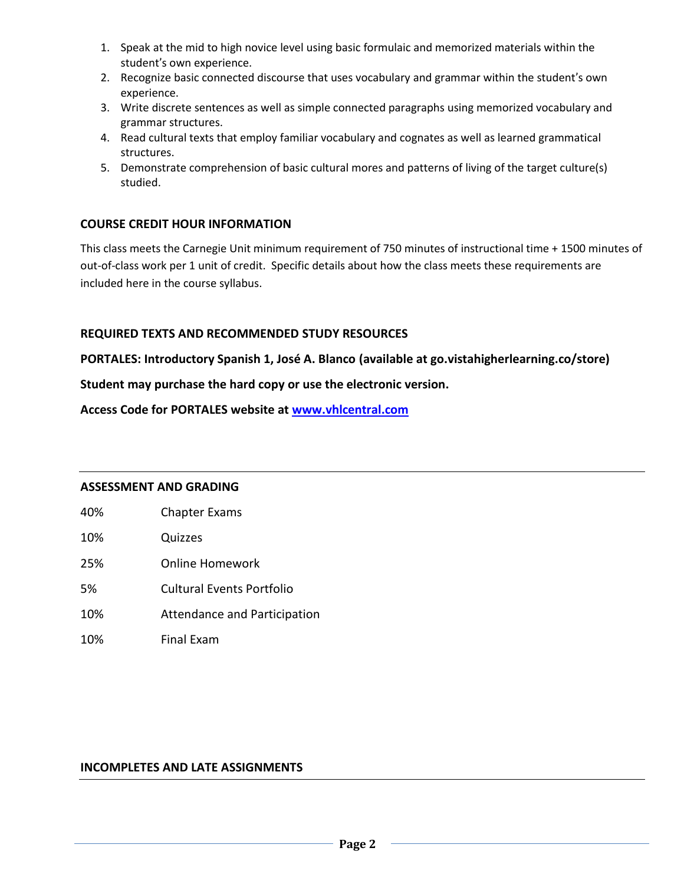- 1. Speak at the mid to high novice level using basic formulaic and memorized materials within the student's own experience.
- 2. Recognize basic connected discourse that uses vocabulary and grammar within the student's own experience.
- 3. Write discrete sentences as well as simple connected paragraphs using memorized vocabulary and grammar structures.
- 4. Read cultural texts that employ familiar vocabulary and cognates as well as learned grammatical structures.
- 5. Demonstrate comprehension of basic cultural mores and patterns of living of the target culture(s) studied.

## **COURSE CREDIT HOUR INFORMATION**

This class meets the Carnegie Unit minimum requirement of 750 minutes of instructional time + 1500 minutes of out-of-class work per 1 unit of credit. Specific details about how the class meets these requirements are included here in the course syllabus.

#### **REQUIRED TEXTS AND RECOMMENDED STUDY RESOURCES**

**PORTALES: Introductory Spanish 1, José A. Blanco (available at go.vistahigherlearning.co/store)**

**Student may purchase the hard copy or use the electronic version.**

**Access Code for PORTALES website at [www.vhlcentral.com](http://www.vhlcentral.com/)**

#### **ASSESSMENT AND GRADING**

- 40% Chapter Exams
- 10% Quizzes
- 25% Online Homework
- 5% Cultural Events Portfolio
- 10% Attendance and Participation
- 10% Final Exam

#### **INCOMPLETES AND LATE ASSIGNMENTS**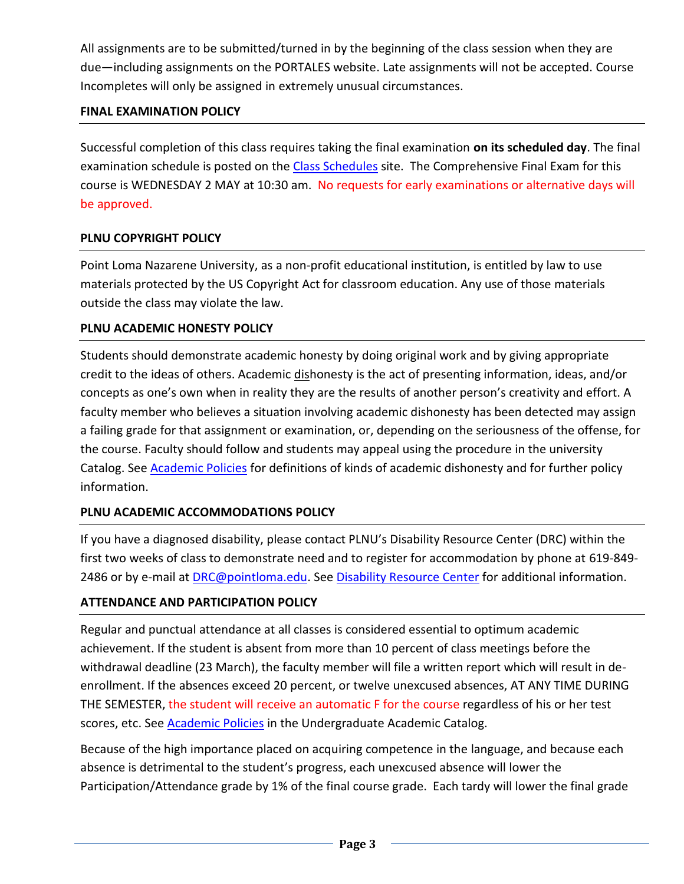All assignments are to be submitted/turned in by the beginning of the class session when they are due—including assignments on the PORTALES website. Late assignments will not be accepted. Course Incompletes will only be assigned in extremely unusual circumstances.

## **FINAL EXAMINATION POLICY**

Successful completion of this class requires taking the final examination **on its scheduled day**. The final examination schedule is posted on the [Class Schedules](http://www.pointloma.edu/experience/academics/class-schedules) site. The Comprehensive Final Exam for this course is WEDNESDAY 2 MAY at 10:30 am. No requests for early examinations or alternative days will be approved.

# **PLNU COPYRIGHT POLICY**

Point Loma Nazarene University, as a non-profit educational institution, is entitled by law to use materials protected by the US Copyright Act for classroom education. Any use of those materials outside the class may violate the law.

## **PLNU ACADEMIC HONESTY POLICY**

Students should demonstrate academic honesty by doing original work and by giving appropriate credit to the ideas of others. Academic dishonesty is the act of presenting information, ideas, and/or concepts as one's own when in reality they are the results of another person's creativity and effort. A faculty member who believes a situation involving academic dishonesty has been detected may assign a failing grade for that assignment or examination, or, depending on the seriousness of the offense, for the course. Faculty should follow and students may appeal using the procedure in the university Catalog. See [Academic Policies](http://catalog.pointloma.edu/content.php?catoid=18&navoid=1278) for definitions of kinds of academic dishonesty and for further policy information.

## **PLNU ACADEMIC ACCOMMODATIONS POLICY**

If you have a diagnosed disability, please contact PLNU's Disability Resource Center (DRC) within the first two weeks of class to demonstrate need and to register for accommodation by phone at 619-849- 2486 or by e-mail at [DRC@pointloma.edu.](mailto:DRC@pointloma.edu) See [Disability Resource Center](http://www.pointloma.edu/experience/offices/administrative-offices/academic-advising-office/disability-resource-center) for additional information.

## **ATTENDANCE AND PARTICIPATION POLICY**

Regular and punctual attendance at all classes is considered essential to optimum academic achievement. If the student is absent from more than 10 percent of class meetings before the withdrawal deadline (23 March), the faculty member will file a written report which will result in deenrollment. If the absences exceed 20 percent, or twelve unexcused absences, AT ANY TIME DURING THE SEMESTER, the student will receive an automatic F for the course regardless of his or her test scores, etc. See [Academic Policies](http://catalog.pointloma.edu/content.php?catoid=18&navoid=1278) in the Undergraduate Academic Catalog.

Because of the high importance placed on acquiring competence in the language, and because each absence is detrimental to the student's progress, each unexcused absence will lower the Participation/Attendance grade by 1% of the final course grade. Each tardy will lower the final grade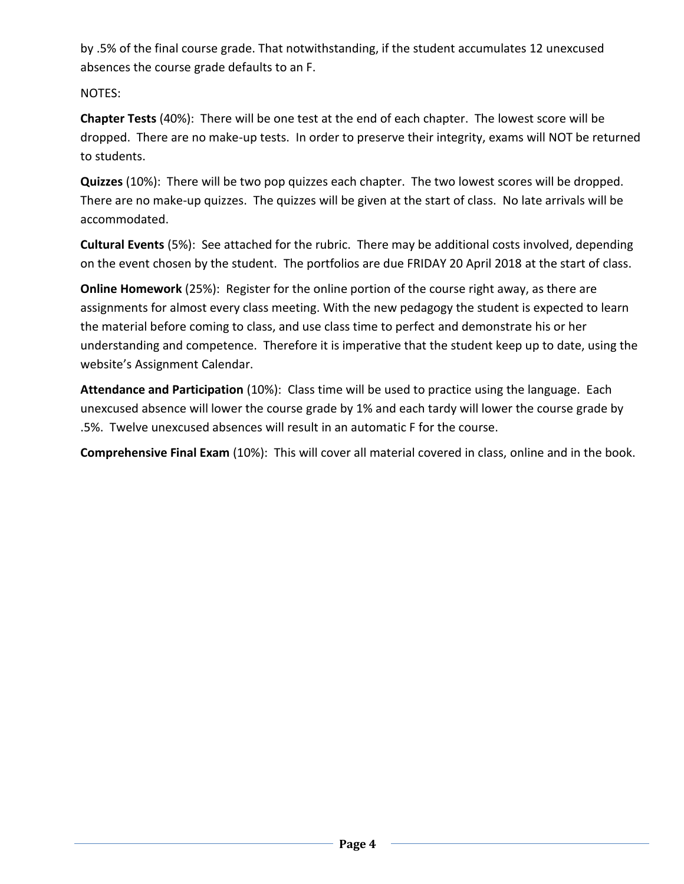by .5% of the final course grade. That notwithstanding, if the student accumulates 12 unexcused absences the course grade defaults to an F.

NOTES:

**Chapter Tests** (40%): There will be one test at the end of each chapter. The lowest score will be dropped. There are no make-up tests. In order to preserve their integrity, exams will NOT be returned to students.

**Quizzes** (10%): There will be two pop quizzes each chapter. The two lowest scores will be dropped. There are no make-up quizzes. The quizzes will be given at the start of class. No late arrivals will be accommodated.

**Cultural Events** (5%): See attached for the rubric. There may be additional costs involved, depending on the event chosen by the student. The portfolios are due FRIDAY 20 April 2018 at the start of class.

**Online Homework** (25%): Register for the online portion of the course right away, as there are assignments for almost every class meeting. With the new pedagogy the student is expected to learn the material before coming to class, and use class time to perfect and demonstrate his or her understanding and competence. Therefore it is imperative that the student keep up to date, using the website's Assignment Calendar.

**Attendance and Participation** (10%): Class time will be used to practice using the language. Each unexcused absence will lower the course grade by 1% and each tardy will lower the course grade by .5%. Twelve unexcused absences will result in an automatic F for the course.

**Comprehensive Final Exam** (10%): This will cover all material covered in class, online and in the book.